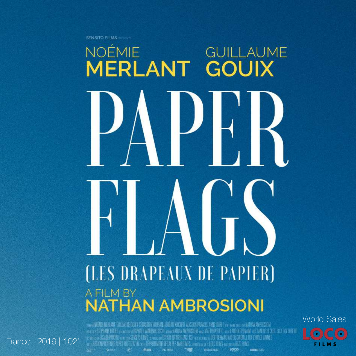**SENSITO FILMS** 

# **NOÉMIE** NOÉMIE GUILLAUME<br>**MERLANT GOUIX** (LES DRAPEAUX DE PAPIER) A FILM BY **NATHAN AMBROSIONI**

World Sales**FILMS** 

France | 2019 | 102'

NAME AND THE REAL POST OF A TEACHER OF A REAL POST OF A REAL PROPERTY OF A REAL PROPERTY OF RECENTLE EXAMINED AND RELEASED TO A STATE OF A STATE OF A STATE OF A STATE OF A STATE OF A STATE OF A STATE OF permane LSALE PARTINI con con SEARE 19 1985 conserved Coald SEARCH LIST 30 conserved COLLS ANDONE DUCATANT LIST HAVE ANDE a million and the control of the control of the control of the control of the control of the control of the co "HP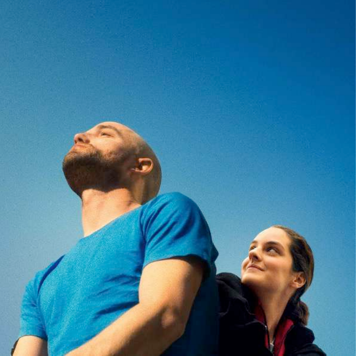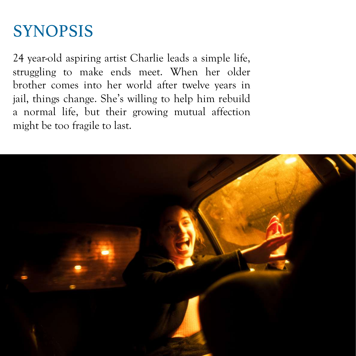## SYNOPSIS

24 year-old aspiring artist Charlie leads a simple life, struggling to make ends meet. When her older brother comes into her world after twelve years in jail, things change. She's willing to help him rebuild a normal life, but their growing mutual affection might be too fragile to last.

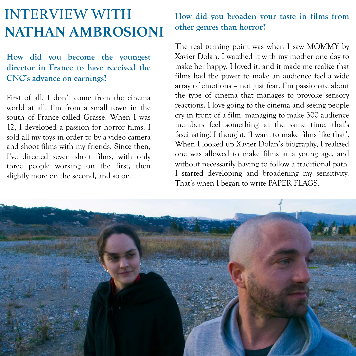## INTERVIEW WITH **NATHAN AMBROSIONI**

**How did you become the youngest director in France to have received the CNC's advance on earnings?**

First of all, I don't come from the cinema world at all. I'm from a small town in the south of France called Grasse. When I was 12, I developed a passion for horror films. I sold all my toys in order to by a video camera and shoot films with my friends. Since then, I've directed seven short films, with only three people working on the first, then slightly more on the second, and so on.

#### **How did you broaden your taste in films from other genres than horror?**

The real turning point was when I saw MOMMY by Xavier Dolan. I watched it with my mother one day to make her happy. I loved it, and it made me realize that films had the power to make an audience feel a wide array of emotions – not just fear. I'm passionate about the type of cinema that manages to provoke sensory reactions. I love going to the cinema and seeing people cry in front of a film: managing to make 300 audience members feel something at the same time, that's fascinating! I thought, 'I want to make films like that'. When I looked up Xavier Dolan's biography, I realized one was allowed to make films at a young age, and without necessarily having to follow a traditional path. I started developing and broadening my sensitivity. That's when I began to write PAPER FLAGS.

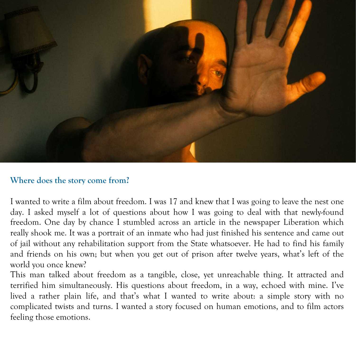

#### **Where does the story come from?**

I wanted to write a film about freedom. I was 17 and knew that I was going to leave the nest one day. I asked myself a lot of questions about how I was going to deal with that newly-found freedom. One day by chance I stumbled across an article in the newspaper Liberation which really shook me. It was a portrait of an inmate who had just finished his sentence and came out of jail without any rehabilitation support from the State whatsoever. He had to find his family and friends on his own; but when you get out of prison after twelve years, what's left of the world you once knew?

This man talked about freedom as a tangible, close, yet unreachable thing. It attracted and terrified him simultaneously. His questions about freedom, in a way, echoed with mine. I've lived a rather plain life, and that's what I wanted to write about: a simple story with no complicated twists and turns. I wanted a story focused on human emotions, and to film actors feeling those emotions.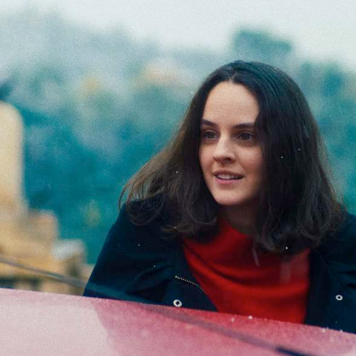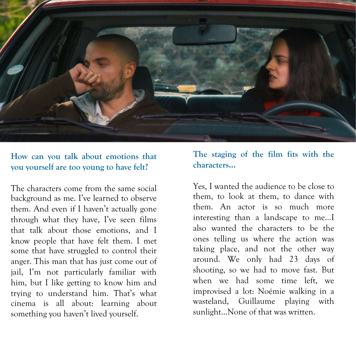

#### **How can you talk about emotions that you yourself are too young to have felt?**

The characters come from the same social background as me. I've learned to observe them. And even if I haven't actually gone through what they have, I've seen films that talk about those emotions, and I know people that have felt them. I met some that have struggled to control their anger. This man that has just come out of jail, I'm not particularly familiar with him, but I like getting to know him and trying to understand him. That's what cinema is all about: learning about something you haven't lived yourself.

#### **The staging of the film fits with the characters…**

Yes, I wanted the audience to be close to them, to look at them, to dance with them. An actor is so much more interesting than a landscape to me…I also wanted the characters to be the ones telling us where the action was taking place, and not the other way around. We only had 23 days of shooting, so we had to move fast. But when we had some time left, we improvised a lot: Noémie walking in a wasteland, Guillaume playing with sunlight…None of that was written.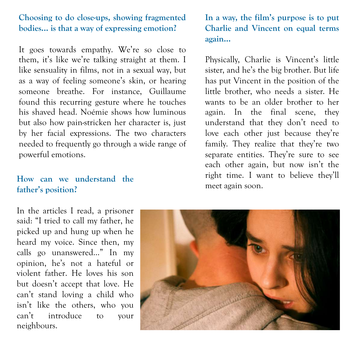#### **Choosing to do close-ups, showing fragmented bodies... is that a way of expressing emotion?**

It goes towards empathy. We're so close to them, it's like we're talking straight at them. I like sensuality in films, not in a sexual way, but as a way of feeling someone's skin, or hearing someone breathe. For instance, Guillaume found this recurring gesture where he touches his shaved head. Noémie shows how luminous but also how pain-stricken her character is, just by her facial expressions. The two characters needed to frequently go through a wide range of powerful emotions.

#### **How can we understand the father's position?**

In the articles I read, a prisoner said: "I tried to call my father, he picked up and hung up when he heard my voice. Since then, my calls go unanswered…" In my opinion, he's not a hateful or violent father. He loves his son but doesn't accept that love. He can't stand loving a child who isn't like the others, who you can't introduce to your neighbours.

#### **In a way, the film's purpose is to put Charlie and Vincent on equal terms again…**

Physically, Charlie is Vincent's little sister, and he's the big brother. But life has put Vincent in the position of the little brother, who needs a sister. He wants to be an older brother to her again. In the final scene, they understand that they don't need to love each other just because they're family. They realize that they're two separate entities. They're sure to see each other again, but now isn't the right time. I want to believe they'll meet again soon.

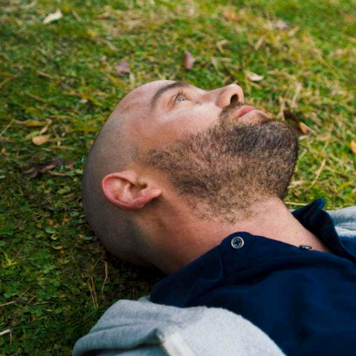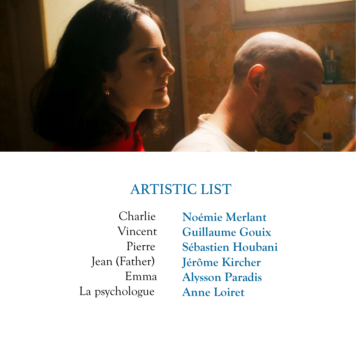

## ARTISTIC LIST

Charlie Vincent Pierre Jean (Father) Emma La psychologue

**Noémie Merlant Guillaume Gouix Sébastien Houbani Jérôme Kircher Alysson Paradis Anne Loiret**